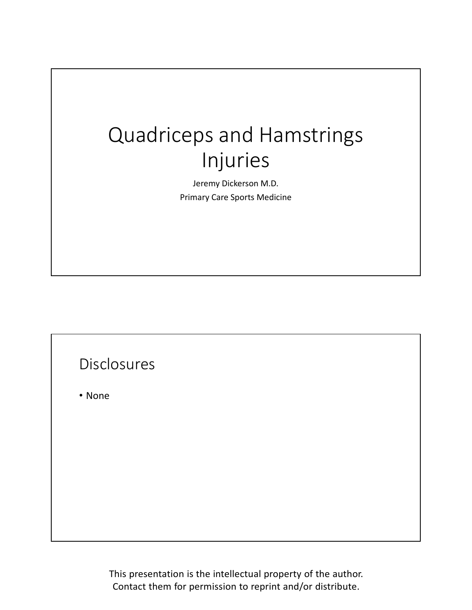## Quadriceps and Hamstrings Injuries

Jeremy Dickerson M.D. Primary Care Sports Medicine

## Disclosures

• None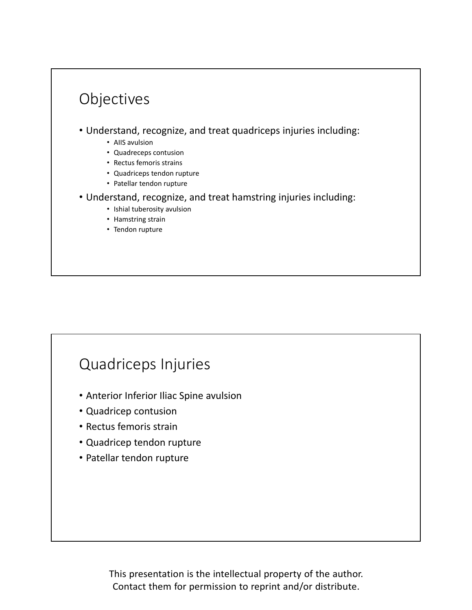## Objectives • Understand, recognize, and treat quadriceps injuries including: • AIIS avulsion • Quadreceps contusion • Rectus femoris strains • Quadriceps tendon rupture • Patellar tendon rupture • Understand, recognize, and treat hamstring injuries including: • Ishial tuberosity avulsion • Hamstring strain • Tendon rupture

## Quadriceps Injuries

- Anterior Inferior Iliac Spine avulsion
- Quadricep contusion
- Rectus femoris strain
- Quadricep tendon rupture
- Patellar tendon rupture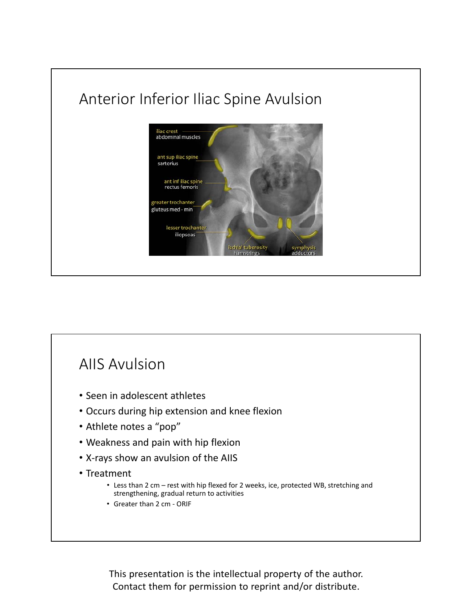

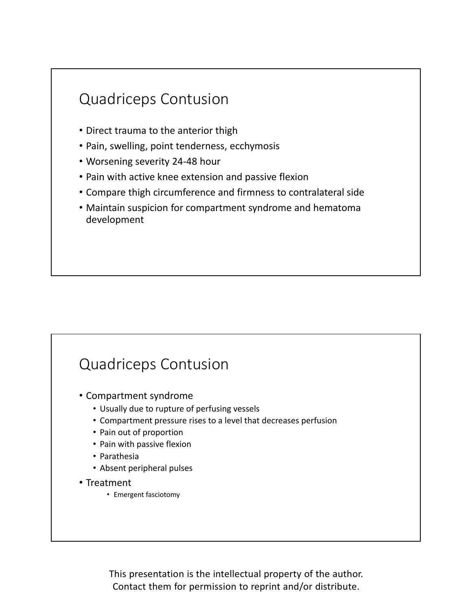

## Quadriceps Contusion

- Compartment syndrome
	- Usually due to rupture of perfusing vessels
	- Compartment pressure rises to a level that decreases perfusion
	- Pain out of proportion
	- Pain with passive flexion
	- Parathesia
	- Absent peripheral pulses
- Treatment
	- Emergent fasciotomy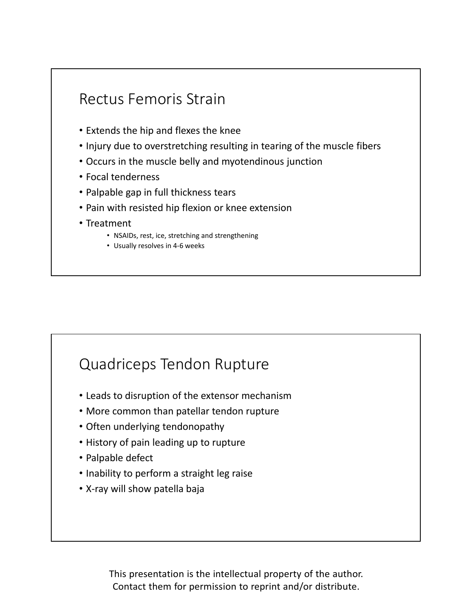

## Quadriceps Tendon Rupture

- Leads to disruption of the extensor mechanism
- More common than patellar tendon rupture
- Often underlying tendonopathy
- History of pain leading up to rupture
- Palpable defect
- Inability to perform a straight leg raise
- X‐ray will show patella baja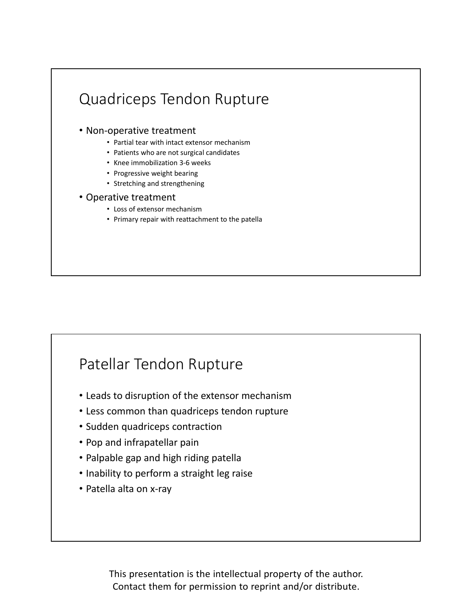# Quadriceps Tendon Rupture

- Non‐operative treatment
	- Partial tear with intact extensor mechanism
	- Patients who are not surgical candidates
	- Knee immobilization 3‐6 weeks
	- Progressive weight bearing
	- Stretching and strengthening
- Operative treatment
	- Loss of extensor mechanism
	- Primary repair with reattachment to the patella

## Patellar Tendon Rupture

- Leads to disruption of the extensor mechanism
- Less common than quadriceps tendon rupture
- Sudden quadriceps contraction
- Pop and infrapatellar pain
- Palpable gap and high riding patella
- Inability to perform a straight leg raise
- Patella alta on x‐ray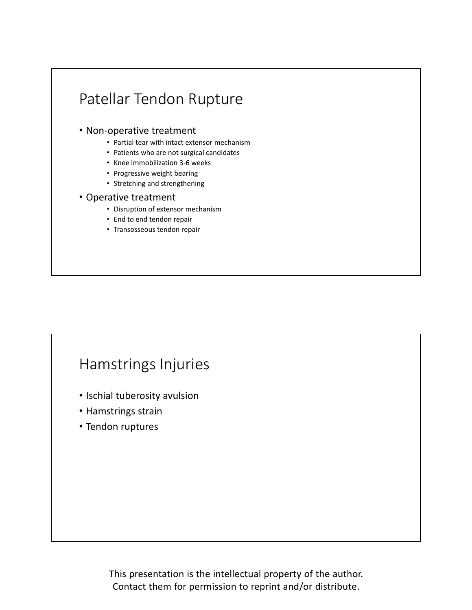## Patellar Tendon Rupture

#### • Non‐operative treatment

- Partial tear with intact extensor mechanism
- Patients who are not surgical candidates
- Knee immobilization 3‐6 weeks
- Progressive weight bearing
- Stretching and strengthening

#### • Operative treatment

- Disruption of extensor mechanism
- End to end tendon repair
- Transosseous tendon repair

## Hamstrings Injuries

- Ischial tuberosity avulsion
- Hamstrings strain
- Tendon ruptures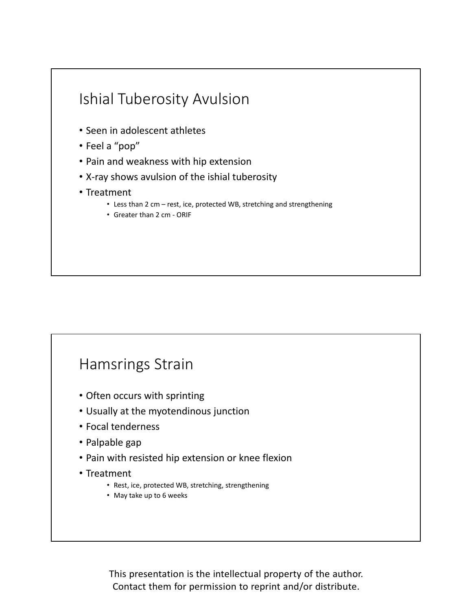

## Hamsrings Strain

- Often occurs with sprinting
- Usually at the myotendinous junction
- Focal tenderness
- Palpable gap
- Pain with resisted hip extension or knee flexion
- Treatment
	- Rest, ice, protected WB, stretching, strengthening
	- May take up to 6 weeks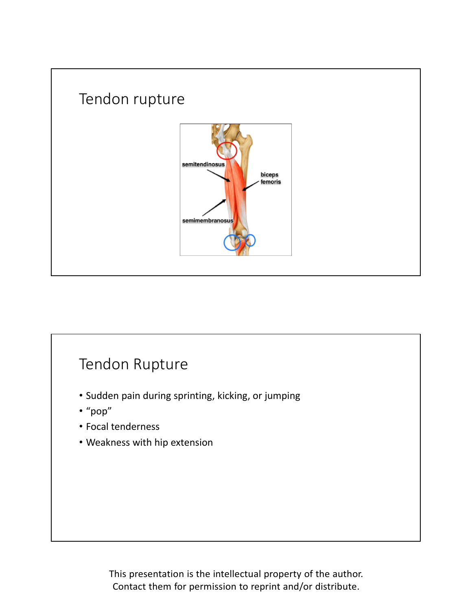

## Tendon Rupture

- Sudden pain during sprinting, kicking, or jumping
- "pop"
- Focal tenderness
- Weakness with hip extension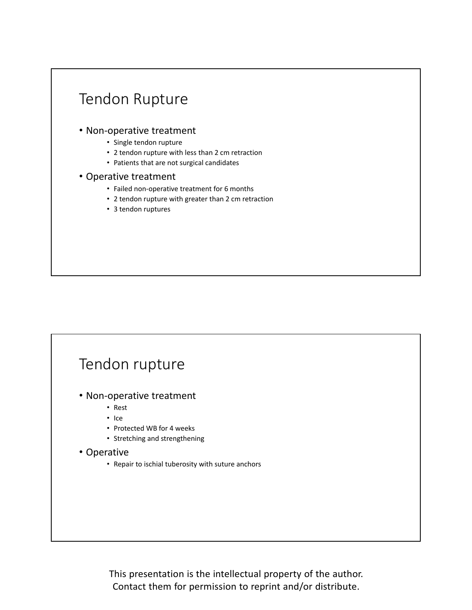

## Tendon rupture

- Non‐operative treatment
	- Rest
	- Ice
	- Protected WB for 4 weeks
	- Stretching and strengthening

#### • Operative

• Repair to ischial tuberosity with suture anchors